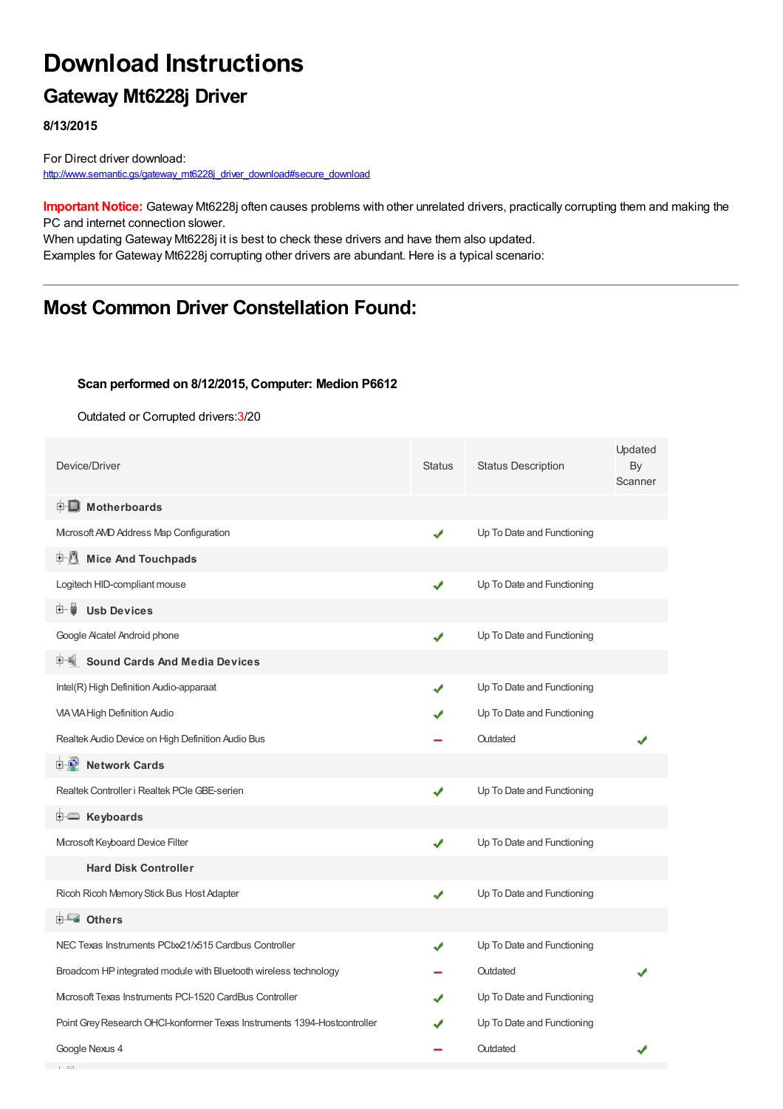# **Download Instructions**

## **Gateway Mt6228j Driver**

**8/13/2015**

**Contract Contract** 

For Direct driver download: [http://www.semantic.gs/gateway\\_mt6228j\\_driver\\_download#secure\\_download](http://www.semantic.gs/gateway_mt6228j_driver_download#secure_download)

**Important Notice:** Gateway Mt6228j often causes problems with other unrelated drivers, practically corrupting them and making the PC and internet connection slower.

When updating Gateway Mt6228j it is best to check these drivers and have them also updated. Examples for Gateway Mt6228j corrupting other drivers are abundant. Here is a typical scenario:

## **Most Common Driver Constellation Found:**

#### **Scan performed on 8/12/2015, Computer: Medion P6612**

Outdated or Corrupted drivers:3/20

| Device/Driver                                                            | Status | <b>Status Description</b>  | Updated<br>By<br>Scanner |
|--------------------------------------------------------------------------|--------|----------------------------|--------------------------|
| <b>E</b> Motherboards                                                    |        |                            |                          |
| Microsoft AVD Address Map Configuration                                  | ✔      | Up To Date and Functioning |                          |
| 中心 Mice And Touchpads                                                    |        |                            |                          |
| Logitech HID-compliant mouse                                             | ✔      | Up To Date and Functioning |                          |
| <b>Usb Devices</b><br>⊞… ∎                                               |        |                            |                          |
| Google Alcatel Android phone                                             | ✔      | Up To Date and Functioning |                          |
| <b>Sound Cards And Media Devices</b>                                     |        |                            |                          |
| Intel(R) High Definition Audio-apparaat                                  |        | Up To Date and Functioning |                          |
| <b>VIA VIA High Definition Audio</b>                                     |        | Up To Date and Functioning |                          |
| Realtek Audio Device on High Definition Audio Bus                        |        | Outdated                   |                          |
| <b>D</b> Network Cards                                                   |        |                            |                          |
| Realtek Controller i Realtek PCIe GBE-serien                             | ✔      | Up To Date and Functioning |                          |
| <b>E</b> Keyboards                                                       |        |                            |                          |
| Microsoft Keyboard Device Filter                                         | ✔      | Up To Date and Functioning |                          |
| <b>Hard Disk Controller</b>                                              |        |                            |                          |
| Ricoh Ricoh Memory Stick Bus Host Adapter                                | ✔      | Up To Date and Functioning |                          |
| <b>E</b> Others                                                          |        |                            |                          |
| NEC Texas Instruments PCIxx21/x515 Cardbus Controller                    |        | Up To Date and Functioning |                          |
| Broadcom HP integrated module with Bluetooth wireless technology         |        | Outdated                   |                          |
| Microsoft Texas Instruments PCI-1520 CardBus Controller                  |        | Up To Date and Functioning |                          |
| Point Grey Research OHCI-konformer Texas Instruments 1394-Hostcontroller |        | Up To Date and Functioning |                          |
| Google Nexus 4                                                           |        | Outdated                   |                          |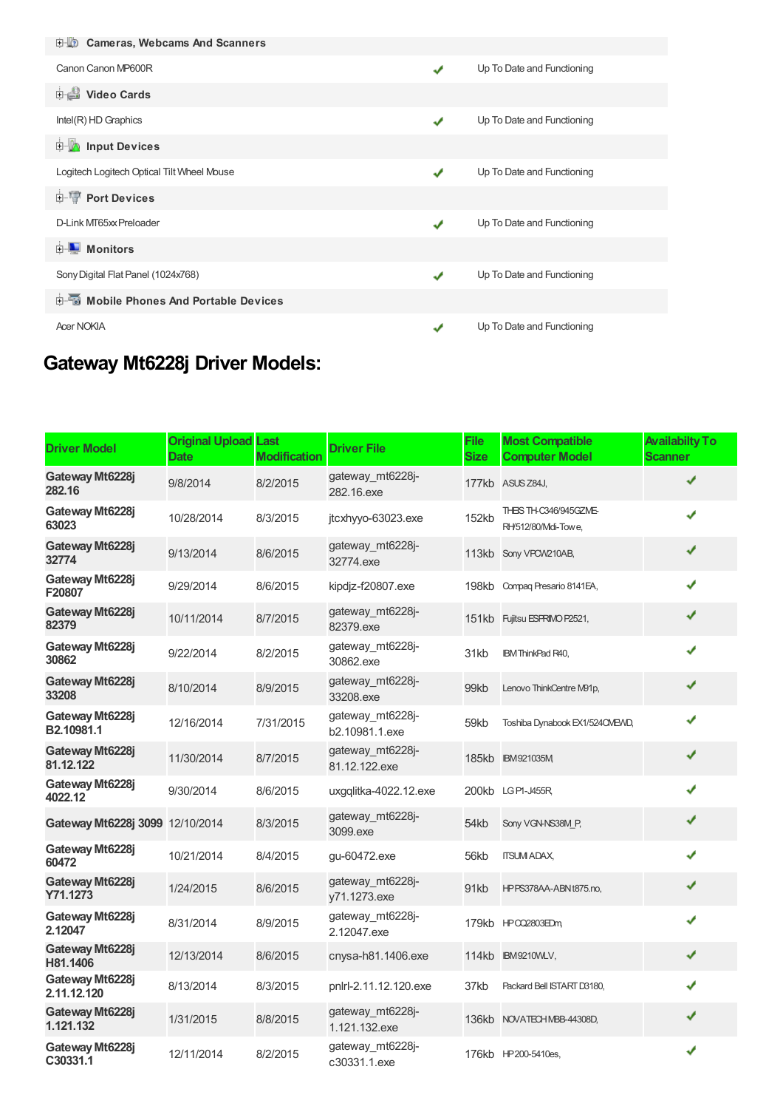| <b>E-LO</b> Cameras, Webcams And Scanners         |   |                            |
|---------------------------------------------------|---|----------------------------|
| Canon Canon MP600R                                | ✔ | Up To Date and Functioning |
| <b>Dideo Cards</b>                                |   |                            |
| Intel(R) HD Graphics                              | ✔ | Up To Date and Functioning |
| <b>E</b> Input Devices                            |   |                            |
| Logitech Logitech Optical Tilt Wheel Mouse        |   | Up To Date and Functioning |
| <b>E-</b> Port Devices                            |   |                            |
| D-Link MT65xx Preloader                           | J | Up To Date and Functioning |
| <b>D</b> Monitors                                 |   |                            |
| Sony Digital Flat Panel (1024x768)                |   | Up To Date and Functioning |
| <b>Devices</b> Mobile Phones And Portable Devices |   |                            |
| <b>Acer NOKIA</b>                                 |   | Up To Date and Functioning |

## **Gateway Mt6228j Driver Models:**

| <b>Driver Model</b>             | <b>Original Upload Last</b><br><b>Date</b> | <b>Modification</b> | <b>Driver File</b>                 | <b>File</b><br><b>Size</b> | <b>Most Compatible</b><br><b>Computer Model</b> | <b>Availabilty To</b><br><b>Scanner</b> |
|---------------------------------|--------------------------------------------|---------------------|------------------------------------|----------------------------|-------------------------------------------------|-----------------------------------------|
| Gateway Mt6228j<br>282.16       | 9/8/2014                                   | 8/2/2015            | gateway mt6228-<br>282.16.exe      |                            | 177kb ASUS Z84J,                                |                                         |
| Gateway Mt6228j<br>63023        | 10/28/2014                                 | 8/3/2015            | jtcxhyyo-63023.exe                 | 152kb                      | THEIS TH-C346/945GZME-<br>RH/512/80/Mdi-Towe,   |                                         |
| Gateway Mt6228j<br>32774        | 9/13/2014                                  | 8/6/2015            | gateway_mt6228j-<br>32774.exe      |                            | 113kb Sony VPCW210AB,                           | ✔                                       |
| Gateway Mt6228j<br>F20807       | 9/29/2014                                  | 8/6/2015            | kipdjz-f20807.exe                  |                            | 198kb Compag Presario 8141EA,                   |                                         |
| Gateway Mt6228j<br>82379        | 10/11/2014                                 | 8/7/2015            | gateway mt6228-<br>82379.exe       |                            | 151kb Fujitsu ESPRIMO P2521,                    | ✔                                       |
| Gateway Mt6228j<br>30862        | 9/22/2014                                  | 8/2/2015            | gateway_mt6228j-<br>30862.exe      | 31kb                       | <b>IBM ThinkPad R40,</b>                        | ✔                                       |
| Gateway Mt6228j<br>33208        | 8/10/2014                                  | 8/9/2015            | gateway mt6228-<br>33208.exe       | 99kb                       | Lenovo ThinkCentre M91p,                        | ✔                                       |
| Gateway Mt6228j<br>B2.10981.1   | 12/16/2014                                 | 7/31/2015           | gateway_mt6228j-<br>b2.10981.1.exe | 59kb                       | Toshiba Dynabook EX1/524CMEVID,                 | ✔                                       |
| Gateway Mt6228j<br>81.12.122    | 11/30/2014                                 | 8/7/2015            | gateway mt6228-<br>81.12.122.exe   |                            | 185kb IBM921035M                                | ✔                                       |
| Gateway Mt6228j<br>4022.12      | 9/30/2014                                  | 8/6/2015            | uxgqlitka-4022.12.exe              |                            | 200kb LGPI-J455R                                |                                         |
| Gateway Mt6228j 3099 12/10/2014 |                                            | 8/3/2015            | gateway_mt6228j-<br>3099.exe       | 54kb                       | Sony VGN-NS38M P,                               | ✔                                       |
| Gateway Mt6228j<br>60472        | 10/21/2014                                 | 8/4/2015            | gu-60472.exe                       | 56kb                       | <b>ITSUM ADAX,</b>                              | J                                       |
| Gateway Mt6228j<br>Y71.1273     | 1/24/2015                                  | 8/6/2015            | gateway_mt6228j-<br>y71.1273.exe   | 91kb                       | HPPS378AA-ABNt875.no,                           | ✔                                       |
| Gateway Mt6228j<br>2.12047      | 8/31/2014                                  | 8/9/2015            | gateway mt6228-<br>2.12047.exe     |                            | 179kb HPO22803EDm,                              | ✔                                       |
| Gateway Mt6228i<br>H81.1406     | 12/13/2014                                 | 8/6/2015            | cnysa-h81.1406.exe                 |                            | 114kb IBM9210WLV,                               | ✔                                       |
| Gateway Mt6228j<br>2.11.12.120  | 8/13/2014                                  | 8/3/2015            | pnlrl-2.11.12.120.exe              | 37kb                       | Packard Bell ISTART D3180,                      | ✔                                       |
| Gateway Mt6228i<br>1.121.132    | 1/31/2015                                  | 8/8/2015            | gateway mt6228-<br>1.121.132.exe   |                            | 136kb NOVATECHMBB-44308D,                       | ✔                                       |
| Gateway Mt6228j<br>C30331.1     | 12/11/2014                                 | 8/2/2015            | gateway_mt6228j-<br>c30331.1.exe   |                            | 176kb HP200-5410es,                             | ✔                                       |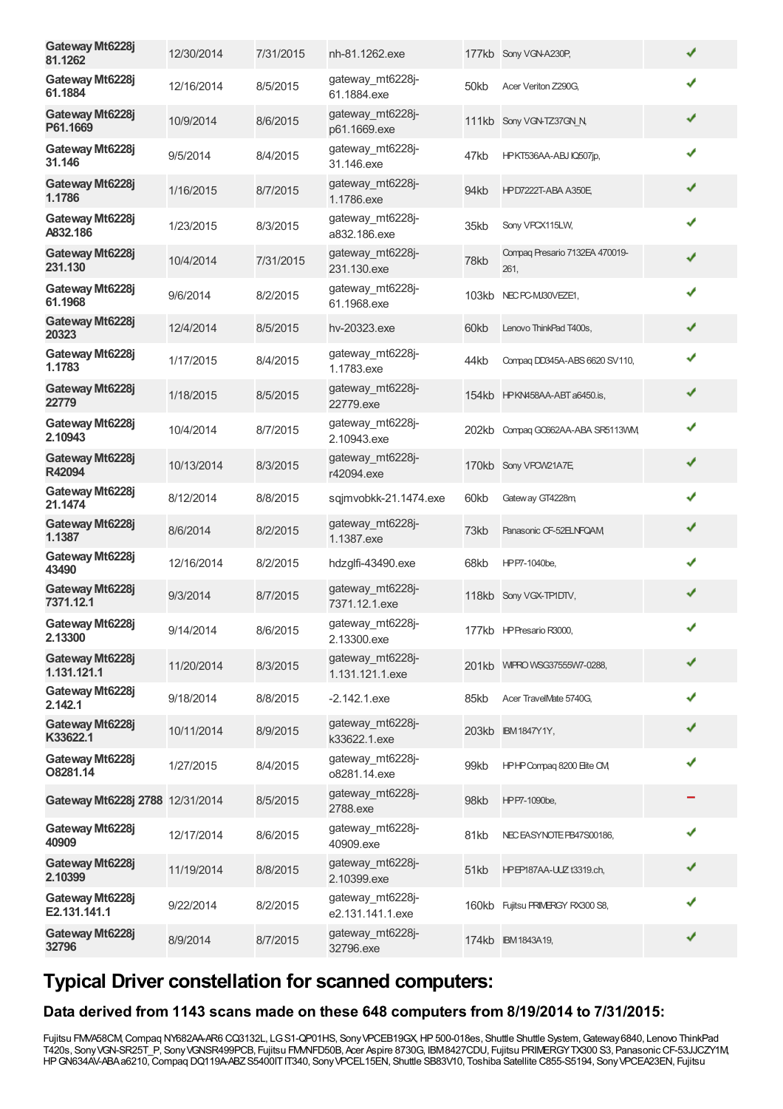| Gateway Mt6228j<br>81.1262      | 12/30/2014 | 7/31/2015 | nh-81.1262.exe                       |       | 177kb Sony VGN-A230P,                  | ✔ |
|---------------------------------|------------|-----------|--------------------------------------|-------|----------------------------------------|---|
| Gateway Mt6228j<br>61.1884      | 12/16/2014 | 8/5/2015  | gateway_mt6228j-<br>61.1884.exe      | 50kb  | Acer Veriton Z290G,                    | ✔ |
| Gateway Mt6228j<br>P61.1669     | 10/9/2014  | 8/6/2015  | gateway mt6228j-<br>p61.1669.exe     |       | 111kb Sony VGN-TZ37GN N                | ✔ |
| Gateway Mt6228j<br>31.146       | 9/5/2014   | 8/4/2015  | gateway_mt6228j-<br>31.146.exe       | 47kb  | HPKT536AA-ABJ IQ507jp,                 |   |
| Gateway Mt6228j<br>1.1786       | 1/16/2015  | 8/7/2015  | gateway_mt6228j-<br>1.1786.exe       | 94kb  | <b>HPD7222T-ABA A350E</b>              | ✔ |
| Gateway Mt6228j<br>A832.186     | 1/23/2015  | 8/3/2015  | gateway mt6228j-<br>a832.186.exe     | 35kb  | Sony VPCX115LW,                        | ✔ |
| Gateway Mt6228j<br>231.130      | 10/4/2014  | 7/31/2015 | gateway_mt6228j-<br>231.130.exe      | 78kb  | Compaq Presario 7132EA 470019-<br>261, | ✔ |
| Gateway Mt6228j<br>61.1968      | 9/6/2014   | 8/2/2015  | gateway_mt6228j-<br>61.1968.exe      | 103kb | NEC PC-MJ30VEZE1,                      | ✔ |
| Gateway Mt6228j<br>20323        | 12/4/2014  | 8/5/2015  | hv-20323.exe                         | 60kb  | Lenovo ThinkPad T400s,                 | ✔ |
| Gateway Mt6228j<br>1.1783       | 1/17/2015  | 8/4/2015  | gateway_mt6228j-<br>1.1783.exe       | 44kb  | Compag DD345A-ABS 6620 SV110,          | ✔ |
| Gateway Mt6228j<br>22779        | 1/18/2015  | 8/5/2015  | gateway_mt6228j-<br>22779.exe        |       | 154kb HPKN458AA-ABT a6450.is,          | ✔ |
| Gateway Mt6228j<br>2.10943      | 10/4/2014  | 8/7/2015  | gateway mt6228j-<br>2.10943.exe      |       | 202kb Compag GC662AA-ABA SR5113VM      | ✔ |
| Gateway Mt6228j<br>R42094       | 10/13/2014 | 8/3/2015  | gateway_mt6228j-<br>r42094.exe       |       | 170kb Sony VPCW21A7E                   | ✔ |
| Gateway Mt6228j<br>21.1474      | 8/12/2014  | 8/8/2015  | sqjmvobkk-21.1474.exe                | 60kb  | Gateway GT4228m                        | ✔ |
| Gateway Mt6228j<br>1.1387       | 8/6/2014   | 8/2/2015  | gateway_mt6228j-<br>1.1387.exe       | 73kb  | Panasonic CF-52ELNFQAM                 | ✔ |
| Gateway Mt6228j<br>43490        | 12/16/2014 | 8/2/2015  | hdzglfi-43490.exe                    | 68kb  | HPP7-1040be,                           | ✔ |
| Gateway Mt6228j<br>7371.12.1    | 9/3/2014   | 8/7/2015  | gateway_mt6228j-<br>7371.12.1.exe    |       | 118kb Sony VGX-TP1DTV,                 | ✔ |
| Gateway Mt6228j<br>2.13300      | 9/14/2014  | 8/6/2015  | gateway mt6228j-<br>2.13300.exe      |       | 177kb HP Presario R3000,               | ✔ |
| Gateway Mt6228j<br>1.131.121.1  | 11/20/2014 | 8/3/2015  | gateway_mt6228j-<br>1.131.121.1.exe  |       | 201kb WIFRO WSG37555W7-0288,           | ✔ |
| Gateway Mt6228j<br>2.142.1      | 9/18/2014  | 8/8/2015  | $-2.142.1$ .exe                      | 85kb  | Acer TravelMate 5740G.                 |   |
| Gateway Mt6228j<br>K33622.1     | 10/11/2014 | 8/9/2015  | gateway_mt6228j-<br>k33622.1.exe     |       | 203kb IBM1847Y1Y,                      |   |
| Gateway Mt6228j<br>O8281.14     | 1/27/2015  | 8/4/2015  | gateway_mt6228j-<br>o8281.14.exe     | 99kb  | HPHP Compaq 8200 Eite CM               | J |
| Gateway Mt6228j 2788 12/31/2014 |            | 8/5/2015  | gateway_mt6228j-<br>2788.exe         | 98kb  | HPP7-1090be,                           |   |
| Gateway Mt6228j<br>40909        | 12/17/2014 | 8/6/2015  | gateway_mt6228j-<br>40909.exe        | 81kb  | NEC EASYNOTE PB47S00186,               |   |
| Gateway Mt6228j<br>2.10399      | 11/19/2014 | 8/8/2015  | gateway_mt6228j-<br>2.10399.exe      | 51kb  | HPEP187AA-UUZ t3319.ch,                |   |
| Gateway Mt6228j<br>E2.131.141.1 | 9/22/2014  | 8/2/2015  | gateway_mt6228j-<br>e2.131.141.1.exe |       | 160kb Fujitsu PRIMERGY RX300 S8,       |   |
| Gateway Mt6228j<br>32796        | 8/9/2014   | 8/7/2015  | gateway_mt6228j-<br>32796.exe        |       | 174kb IBM1843A19,                      |   |
|                                 |            |           |                                      |       |                                        |   |

## **Typical Driver constellation for scanned computers:**

#### **Data derived from 1143 scans made on these 648 computers from 8/19/2014 to 7/31/2015:**

Fujitsu FMVA58CM, Compaq NY682AA-AR6 CQ3132L, LG S1-QP01HS, Sony VPCEB19GX, HP 500-018es, Shuttle Shuttle System, Gateway 6840, Lenovo ThinkPad T420s, SonyVGN-SR25T\_P, SonyVGNSR499PCB, Fujitsu FMVNFD50B, Acer Aspire 8730G, IBM8427CDU, Fujitsu PRIMERGYTX300 S3, PanasonicCF-53JJCZY1M, HPGN634AV-ABAa6210,Compaq DQ119A-ABZS5400ITIT340, SonyVPCEL15EN, Shuttle SB83V10, Toshiba Satellite C855-S5194, SonyVPCEA23EN, Fujitsu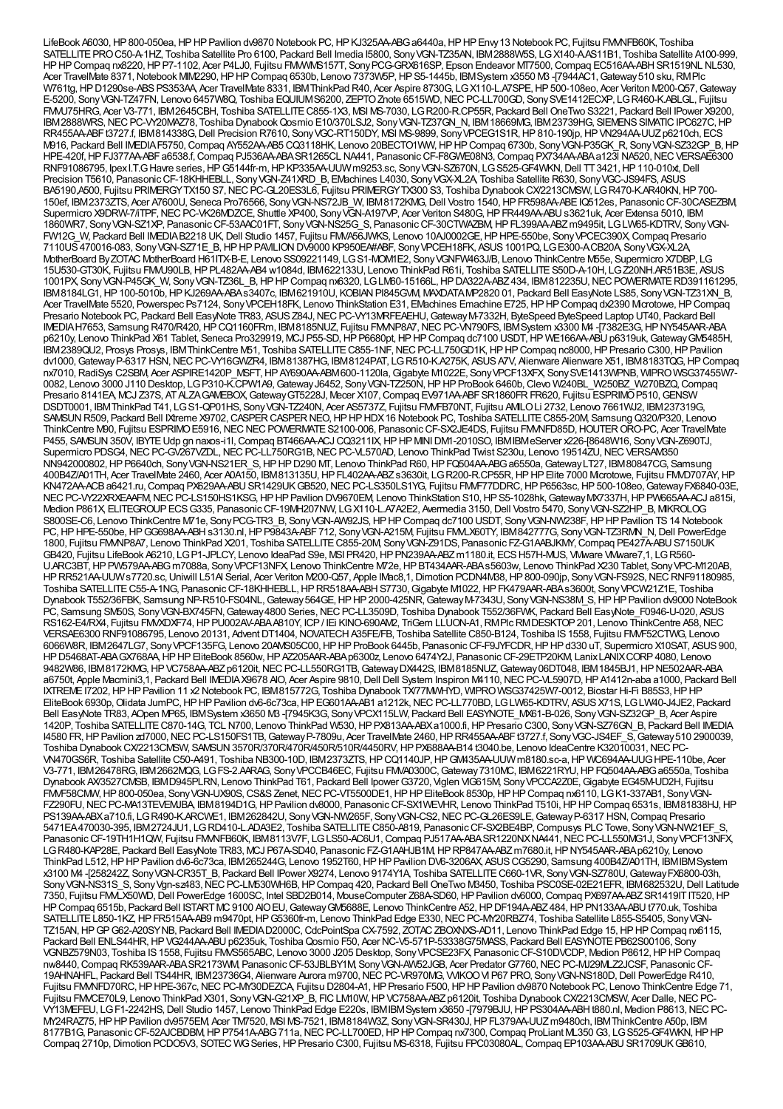LifeBook A6030, HP 800-050ea, HP HP Pavilion dv9870 Notebook PC, HP KJ325AA-ABG a6440a, HP HP Envy 13 Notebook PC, Fujitsu FMMFB60K, Toshiba SATELLITEPROC50-A-1HZ, Toshiba Satellite Pro 6100, Packard Bell Imedia I5800, SonyVGN-TZ35AN, IBM2888W5S, LGX140-A.AS11B1, Toshiba Satellite A100-999, HP HP Compaq nx8220, HP P7-1102, Acer P4LJ0, Fujitsu FMWWS157T, Sony PCG-GRX616SP, Epson Endeavor MT7500, Compaq EC516AA-ABH SR1519NL NL530,<br>Acer TravelMate 8371, Notebook MM2290, HP HP Compaq 6530b, Lenovo 7373W5P, HP S5-W761tg, HP D1290se-ABS PS353AA, Acer TravelMate 8331, IBM ThinkPad R40, Acer Aspire 8730G, LG X110-L.A7SPE, HP 500-108eo, Acer Veriton M200-Q57, Gateway E-5200, Sony VGN-TZ47FN, Lenovo 6457W8Q, Toshiba EQUIUMS6200, ZEPTO Znote 6515WD, NEC PC-LL700GD, Sony SVE1412ECXP, LG R460-K.ABLGL, Fujitsu FMVU75HRG, Acer V3-771, IBM2645CBH, Toshiba SATELLITEC855-1X3, MSI MS-7030, LGR200-R.CP55R, Packard Bell OneTwo S3221, Packard Bell IPower X9200, IBM2888WRS, NEC PC-VY20MAZ78, Toshiba Dynabook Qosmio E10/370LSJ2, Sony VGN-TZ37GN\_N, IBM18669MG, IBM23739HG, SIEMENS SIMATIC IPC627C, HP RR455AA-ABFt3727.f, IBM814338G, Dell Precision R7610, SonyVGC-RT150DY, MSI MS-9899, Sony VPCEG1S1R, HP810-190jp, HP VN294AA-UUZ p6210ch, ECS M916, Packard Bell IMEDIAF5750,Compaq AY552AA-AB5 CQ3118HK, Lenovo 20BECTO1WW,HPHPCompaq 6730b, SonyVGN-P35GK\_R, SonyVGN-SZ32GP\_B,HP HPE-420f, HP FJ377AA-ABF a6538.f, Compaq PJ536AA-ABA SR1265CL NA441, Panasonic CF-F8GWE08N3, Compaq PX734AA-ABA a123l NA520, NEC VERSAE6300 RNF91086795, IpexI.T.G Havre series, HP G5144fr-m, HP KP335AA-UUW m9253.sc, Sony VGN-SZ670N, LG S525-GF4WKN, Dell TT 3421, HP 110-010xt, Dell Precision T5610, PanasonicCF-18KHHEBLL, SonyVGN-Z41XRD\_B, EMachines L4030, SonyVGX-XL2A, Toshiba Satellite R630, SonyVGC-JS94FS, ASUS BA5190,A500, Fujitsu PRIMERGYTX150 S7, NEC PC-GL20ES3L6, Fujitsu PRIMERGYTX300 S3, Toshiba Dynabook CX/2213CMSW, LGR470-K.AR40KN, HP 700-150ef, IBM2373ZTS, Acer A7600U, Seneca Pro76566, SonyVGN-NS72JB\_W, IBM8172KMG,Dell Vostro 1540,HPFR598AA-ABEIQ512es, PanasonicCF-30CASEZBM, Supermicro X9DRW-7/iTPF, NEC PC-VK26MDZCE, Shuttle XP400, Sony VGN-A197VP, Acer Veriton S480G, HP FR449AA-ABU s3621uk, Acer Extensa 5010, IBM 1860WR7, SonyVGN-SZ1XP, PanasonicCF-53AAC01FT, SonyVGN-NS25G\_S, PanasonicCF-30CTWAZBM,HPFL399AA-ABZm9495it, LGLW65-KDTRV, SonyVGN-FW12G\_W, Packard Bell IMEDIAB2218 UK,Dell Studio 1457, Fujitsu FMVA56JWKS, Lenovo 10AJ0002GE,HPHPE-550be, SonyVPCEC390X,Compaq Presario 7110US470016-083, SonyVGN-SZ71E\_B,HPHPPAVILIONDV9000 KP950EA#ABF, SonyVPCEH18FK, ASUS1001PQ, LGE300-A.CB20A, SonyVGX-XL2A, MotherBoard ByZOTAC MotherBoard H61ITX-B-E, Lenovo SS09221149, LGS1-MOM1E2, SonyVGNFW463J/B, Lenovo ThinkCentre M55e, Supermicro X7DBP, LG 15U530-GT30K, Fujitsu FMVU90LB,HPPL482AA-AB4 w1084d, IBM622133U, Lenovo ThinkPad R61i, Toshiba SATELLITES50D-A-10H, LGZ20NH.AR51B3E, ASUS 1001PX, SonyVGN-P45GK\_W, SonyVGN-TZ36L\_B,HPHPCompaq nx6320, LGLM60-15166L,HPDA322A-ABZ434, IBM812235U,NECPOWERMATERD391161295, IBM8184LG1,HP100-5010b,HPKJ269AA-ABAs3407c, IBM621910U, KOBIANPI845GVM, MAXDATAMP2820 01, Packard Bell EasyNote LS85, SonyVGN-TZ31XN\_B, Acer TravelMate 5520, Powerspec Ps7124, SonyVPCEH18FK, Lenovo ThinkStation E31, EMachines Emachine E725,HPHPCompaq dx2390 Microtowe,HPCompaq Presario Notebook PC, Packard Bell EasyNote TR83, ASUS Z84J, NEC PC-VY13MRFEAEHU, Gateway M-7332H, ByteSpeed ByteSpeed Laptop UT40, Packard Bell IMEDIAH7653, Samsung R470/R420,HPCQ1160FRm, IBM8185NUZ, Fujitsu FMVNP8A7,NECPC-VN790FS, IBMSystem x3300 M4 -[7382E3G,HPNY545AAR-ABA p6210y, Lenovo ThinkPad X61 Tablet, Seneca Pro329919, MCJ P55-SD, HP P6680pt, HP HP Compaq dc7100 USDT, HP WE166AA-ABU p6319uk, Gateway GM5485H, IBM2389QU2, Prosys Prosys, IBMThinkCentre M51, Toshiba SATELLITE C855-1NF, NEC PC-LL750GD1K, HP HP Compaq nc8000, HP Presario C300, HP Pavilion dv1000, Gateway P-6317 HSN, NEC PC-VY16GWZR4, IBM81387HG, IBM8124PAT, LGR510-K.A275K, ASUS A7V, Alienware Alienware X51, IBM8183TQG, HP Compaq nx7010,RadiSys C2SBM, Acer ASPIRE1420P\_MSFT,HPAY690AA-ABM600-1120la,Gigabyte M1022E, SonyVPCF13XFX, SonySVE1413WPNB, WIPROWSG37455W7- 0082, Lenovo 3000 J110 Desktop, LGP310-K.CPW1A9, Gateway J6452, Sony VGN-TZ250N, HPHP ProBook 6460b, Clevo W240BL\_W250BZ\_W270BZQ, Compaq Presario 8141EA, MCJ Z37S, AT ALZAGAMEBOX, Gateway GT5228J, Mecer X107, Compaq EV971AA-ABFSR1860FR FR620, Fujitsu ESPRIMO P510, GENSW DSDT0001, IBM ThinkPad T41, LGS1-QP01HS, Sony VGN-TZ240N, Acer AS5737Z, Fujitsu FMVFB70NT, Fujitsu AMLO Li 2732, Lenovo 7661WJ2, IBM237319G, SAMSUN R509, Packard Bell IXtreme X9702, CASPER CASPER NEO, HP HP HDX 16 Notebook PC, Toshiba SATELLITE C855-20M, Samsung Q320/P320, Lenovo ThinkCentre M90, Fujitsu ESPRIMOE5916,NECNECPOWERMATES2100-006, PanasonicCF-SX2JE4DS, Fujitsu FMVNFD85D,HOUTERORO-PC, Acer TravelMate P455, SAMSUN 350V, IBYTE Udp gn naxos-i1l, Compaq BT466AA-ACJ CQ3211IX, HP HP MINI DM1-2010SO, IBMIBMeServer x226-[8648W16, Sony VGN-Z690TJ, Supermicro PDSG4, NEC PC-GV267VZDL, NEC PC-LL750RG1B, NEC PC-VL570AD, Lenovo ThinkPad Twist S230u, Lenovo 19514ZU, NEC VERSAM350 NN942000802,HPP6640ch, SonyVGN-NS21ER\_S,HPHPD290 MT, Lenovo ThinkPad R60,HPFQ504AA-ABGa6550a,GatewayLT27, IBM80847CG, Samsung 400B4Z/A01TH, Acer TravelMate 2460, Acer A0A150, IBM813135U,HPFL402AA-ABZs3630it, LGR200-R.CP55R,HPHPElite 7000 Microtowe, Fujitsu FMVD707AY,HP KN472AA-ACB a6421.ru, Compaq PX629AA-ABU SR1429UK GB520, NEC PC-LS350LS1YG, Fujitsu FMVF77DDRC, HP P6563sc, HP 500-108eo, Gateway FX6840-03E, NEC PC-VY22XRXEAAFM, NEC PC-LS150HS1KSG, HP HP Pavilion DV9670EM, Lenovo ThinkStation S10, HP S5-1028hk, Gateway MX7337H, HP PW665AA-ACJ a815i, Medion P861X, ELITEGROUPECSG335, PanasonicCF-19MH207NW, LGX110-L.A7A2E2, Avermedia 3150,Dell Vostro 5470, SonyVGN-SZ2HP\_B, MIKROLOG S800SE-C6, Lenovo ThinkCentre M71e, Sony PCG-TR3\_B, Sony VGN-AW92JS, HP HP Compaq dc7100 USDT, Sony VGN-NW238F, HP HP Pavilion TS 14 Notebook PC, HP HPE-550be, HP GG698AA-ABH s3130.nl, HP P9843A-ABF712, Sony VGN-A215M, Fujitsu FMMLX60TY, IBM842777G, Sony VGN-TZ3RMN\_N, Dell PowerEdge 1800, Fujitsu FMMP8A7, Lenovo ThinkPad X201, Toshiba SATELLITE C855-20M, Sony VGN-Z91DS, Panasonic FZ-G1AABJKMY, Compaq PE427A-ABU S7150UK GB420, Fujitsu LifeBook A6210, LG P1-JPLCY, Lenovo IdeaPad S9e, MSI PR420, HP PN239AA-ABZ m1180.it, ECS H57H-MUS, VMware VMware7,1, LGR560-U.ARC3BT,HPPW579AA-ABGm7088a, SonyVPCF13NFX, Lenovo ThinkCentre M72e,HPBT434AAR-ABAs5603w, Lenovo ThinkPad X230 Tablet, SonyVPC-M120AB, HPRR521AA-UUWs7720.sc,Uniwill L51AI Serial, Acer Veriton M200-Q57, Apple IMac8,1,Dimotion PCDN4M38,HP800-090jp, SonyVGN-FS92S,NECRNF91180985, Toshiba SATELLITE C55-A-1NG, Panasonic CF-18KHHEBLL, HP RR518AA-ABH S7730, Gigabyte M1022, HP FK479AAR-ABAs3600t, Sony VPCW21Z1E, Toshiba Dynabook T552/36FBK, Samsung NP-R510-FS04NL, Gateway 564GE, HP HP 2000-425NR, Gateway M-7343U, Sony VGN-NS38M\_S, HP HP Pavilion dv9000 NoteBook PC, Samsung SM50S, SonyVGN-BX745FN,Gateway4800 Series,NECPC-LL3509D, Toshiba Dynabook T552/36FWK, Packard Bell EasyNote\_F0946-U-020, ASUS RS162-E4/RX4, Fujitsu FMVXDXF74,HPPU002AV-ABAA810Y, ICP/ IEi KINO-690AM2, TriGem LLUON-A1,RMPlcRMDESKTOP201, Lenovo ThinkCentre A58,NEC VERSAE6300 RNF91086795, Lenovo 20131, Advent DT1404, NOVATECH A35FE/FB, Toshiba Satellite C850-B124, Toshiba IS1558, Fujitsu FMVF52CTWG, Lenovo 6066W8R, IBM2647LG7, SonyVPCF135FG, Lenovo 20AMS05C00,HPHPProBook 6445b, PanasonicCF-F9JYFCDR,HPHPd330 uT, Supermicro X10SAT, ASUS900, HPD5468AT-ABAGX768AA,HPHPEliteBook 8560w,HPAZ205AAR-ABAp6300z, Lenovo 6474Y2J, PanasonicCF-29ETP20KM, LanixLANIXCORP4080, Lenovo 9482W86, IBM8172KMG, HPVC758AA-ABZ p6120it, NEC PC-LL550RG1TB, Gateway DX442S, IBM8185NUZ, Gateway 06DT048, IBM1845BJ1, HP NE502AAR-ABA a6750t, Apple Macmini3,1, Packard Bell IMEDIAX9678 AIO, Acer Aspire 9810, Dell Dell System Inspiron M4110, NEC PC-VL5907D, HP A1412n-aba a1000, Packard Bell IXTREME I7202, HP HP Pavilion 11 x2 Notebook PC, IBM815772G, Toshiba Dynabook TX/77MMHYD, WIPRO WSG37425W7-0012, Biostar Hi-Fi B85S3, HP HP EliteBook 6930p, Olidata JumPC, HP HP Pavilion dv6-6c73ca, HP EG601AA-AB1 a1212k, NEC PC-LL770BD, LG LW65-KDTRV, ASUS X71S, LG LW40-J4JE2, Packard Bell EasyNote TR83, AOpen MP65, IBMSystem x3650 M3 -[7945K3G, SonyVPCX115LW, Packard Bell EASYNOTE\_MX61-B-026, SonyVGN-SZ32GP\_B, Acer Aspire 1420P, Toshiba SATELLITEC870-14G, TCL N700, Lenovo ThinkPad W530,HPPX813AA-ABXa1000.fi,HPPresario C300, SonyVGN-SZ76GN\_B, Packard Bell IMEDIA I4580 FR, HP Pavilion zd7000, NEC PC-LS150FS1TB, Gateway P-7809u, Acer TravelMate 2460, HP RR455AA-ABF t3727.f, Sony VGC-JS4EF\_S, Gateway 510 2900039, Toshiba Dynabook CX/2213CMSW, SAMSUN 3570R/370R/470R/450R/510R/4450RV, HP PX688AA-B14 t3040.be, Lenovo IdeaCentre K32010031, NEC PC-VN470GS6R, Toshiba Satellite C50-A491, Toshiba NB300-10D, IBM2373ZTS,HPCQ1140JP,HPGM435AA-UUWm8180.sc-a,HP WC694AA-UUGHPE-110be, Acer V3-771, IBM26478RG, IBM2662MQG, LGFS-2.AARAG, SonyVPCCB46EC, Fujitsu FMVA0300C,Gateway7310MC, IBM6221RYU,HPFQ504AA-ABGa6550a, Toshiba Dynabook AX/3527CMSB, IBMD945PLRN, Lenovo ThinkPad T61, Packard Bell Ipower G3720, Viglen VIG615M, Sony VPCCA2Z0E, Gigabyte EG45M-UD2H, Fujitsu FMVF58CMW, HP 800-050ea, Sony VGN-UX90S, CS&S Zenet, NEC PC-VT5500DE1, HP HP EliteBook 8530p, HP HP Compaq nx6110, LG K1-337AB1, Sony VGN-FZ290FU, NEC PC-MA13TEVEMJBA, IBM8194D1G, HP Pavilion dv8000, Panasonic CF-SX1WEVHR, Lenovo ThinkPad T510i, HP HP Compaq 6531s, IBM81838HJ, HP PS139AA-ABXa710.fi, LGR490-K.ARCWE1, IBM262842U, SonyVGN-NW265F, SonyVGN-CS2,NECPC-GL26ES9LE,GatewayP-6317 HSN,Compaq Presario 5471EA470030-395, IBM2724JU1, LGRD410-L.ADA3E2, Toshiba SATELLITE C850-A819, Panasonic CF-SX2BE4BP, Compusys PLC Towe, Sony VGN-NW21EF\_S, Panasonic CF-19TH1H1QW, Fujitsu FMMFB60K, IBM8113V7F, LGLS50-AC6U1, Compaq PJ517AA-ABASR1220NXNA441, NEC PC-LL550MG1J, Sony VPCF13NFX, LGR480-KAP28E, Packard Bell EasyNote TR83, MCJ P67A-SD40, Panasonic FZ-G1AAHJB1M,HPRP847AA-ABZm7680.it,HPNY545AAR-ABAp6210y, Lenovo ThinkPad L512, HP HP Pavilion dv6-6c73ca, IBM265244G, Lenovo 1952T60, HP HP Pavilion DV6-3206AX, ASUS CG5290, Samsung 400B4Z/A01TH, IBMIBMS vstem x3100 M4 -[258242Z, SonyVGN-CR35T\_B, Packard Bell IPower X9274, Lenovo 9174Y1A, Toshiba SATELLITEC660-1VR, SonyVGN-SZ780U,GatewayFX6800-03h, Sony VGN-NS31S\_S, Sony Vgn-sz483, NEC PC-LM530WH6B, HP Compaq 420, Packard Bell OneTwo M3450, Toshiba PSC0SE-02E21EFR, IBM682532U, Dell Latitude 7350, Fujitsu FMVLX50WD,Dell PowerEdge 1600SC, Intel SBD2B014, MouseComputer Z68A-SD60,HPPavilion dv6000,Compaq PX697AA-ABZSR1419ITIT520,HP HPCompaq 6515b, Packard Bell ISTARTMC9100 AIOEU,GatewayGM5688E, Lenovo ThinkCentre A52,HPDF194A-ABZ484,HPPN133AA-ABUt770.uk, Toshiba SATELLITE L850-1KZ, HP FR515AA-AB9 m9470pt, HP G5360fr-m, Lenovo ThinkPad Edge E330, NEC PC-MY20RBZ74, Toshiba Satellite L855-S5405, Sony VGN-TZ15AN, HP GP G62-A20SYNB, Packard Bell IMEDIAD2000C, CdcPointSpa CX-7592, ZOTAC ZBOXNXS-AD11, Lenovo ThinkPad Edge 15, HP HP Compaq nx6115, Packard Bell ENLS44HR, HP VG244AA-ABU p6235uk, Toshiba Qosmio F50, Acer NC-V5-571P-53338G75MASS, Packard Bell EASYNOTE PB62S00106, Sony VGNBZ579N03, Toshiba IS1558, Fujitsu FMVS565ABC, Lenovo 3000 J205 Desktop, SonyVPCSE23FX, PanasonicCF-S10DVCDP, Medion P8612,HPHPCompaq nw8440, Compaq RK539AAR-ABA SR2173WM, Panasonic CF-53JBLBY1M, Sony VGN-AW52JGB, Acer Predator G7760, NEC PC-MJ29MLZ2JCSF, Panasonic CF-19AHNAHFL, Packard Bell TS44HR, IBM23736G4, Alienware Aurora m9700, NEC PC-VR970MG, VMKOO VI P67 PRO, Sony VGN-NS180D, Dell PowerEdge R410, Fujitsu FMMHD70RC, HP HPE-367c, NEC PC-MY30DEZCA, Fujitsu D2804-A1, HP Presario F500, HP HP Pavilion dv9870 Notebook PC, Lenovo ThinkCentre Edge 71, Fujitsu FMVCE70L9, Lenovo ThinkPad X301, Sony VGN-G21XP B, FIC LM10W, HP VC758AA-ABZ p6120it, Toshiba Dynabook CX/2213CMSW, Acer Dalle, NEC PC VY13MEFEU, LGF1-2242HS, Dell Studio 1457, Lenovo ThinkPad Edge E220s, IBMIBMSystem x3650 -[7979BJU, HP PS304AA-ABHt880.nl, Medion P8613, NEC PC-MY24RAZ75,HPHPPavilion dv9575EM, Acer TM7520, MSI MS-7521, IBM8184W3Z, SonyVGN-SR430J,HPFL379AA-UUZm9480ch, IBMThinkCentre A50p, IBM 8177B1G, PanasonicCF-52AJCBDBM,HPP7541A-ABG711a,NECPC-LL700ED,HPHPCompaq nx7300,Compaq ProLiant ML350G3, LGS525-GF4WKN,HPHP Compaq 2710p, Dimotion PCDO5V3, SOTEC WG Series, HP Presario C300, Fujitsu MS-6318, Fujitsu FPC03080AL, Compaq EP103AA-ABU SR1709UKGB610,